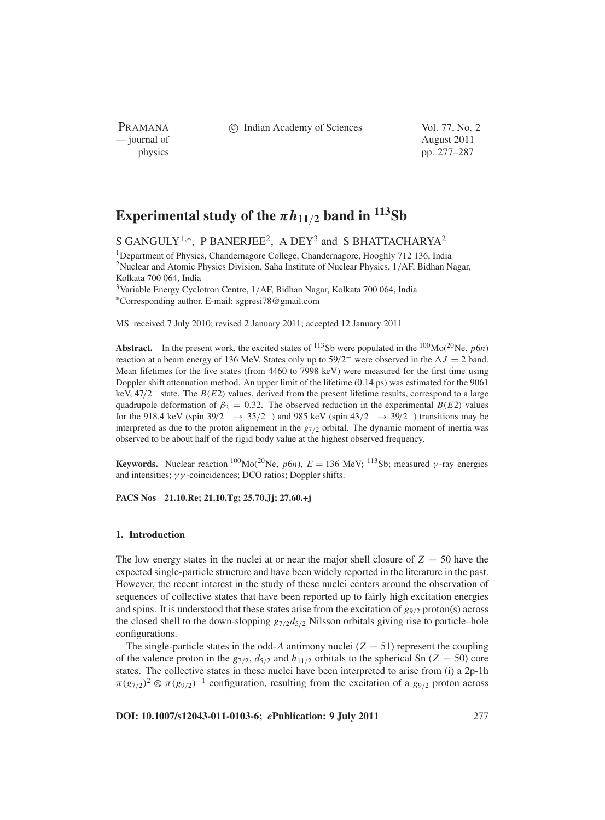PRAMANA — journal of August 2011

c Indian Academy of Sciences Vol. 77, No. 2

physics pp. 277–287

# **Experimental study of the**  $\pi h_{11/2}$  **band** in <sup>113</sup>Sb

S GANGULY<sup>1,\*</sup>, P BANERJEE<sup>2</sup>, A DEY<sup>3</sup> and S BHATTACHARYA<sup>2</sup>

<sup>1</sup>Department of Physics, Chandernagore College, Chandernagore, Hooghly 712 136, India 2Nuclear and Atomic Physics Division, Saha Institute of Nuclear Physics, 1/AF, Bidhan Nagar, Kolkata 700 064, India

3Variable Energy Cyclotron Centre, 1/AF, Bidhan Nagar, Kolkata 700 064, India <sup>∗</sup>Corresponding author. E-mail: sgpresi78@gmail.com

MS received 7 July 2010; revised 2 January 2011; accepted 12 January 2011

**Abstract.** In the present work, the excited states of <sup>113</sup>Sb were populated in the <sup>100</sup>Mo(<sup>20</sup>Ne, *p*6*n*) reaction at a beam energy of 136 MeV. States only up to  $59/2^-$  were observed in the  $\Delta J = 2$  band. Mean lifetimes for the five states (from 4460 to 7998 keV) were measured for the first time using Doppler shift attenuation method. An upper limit of the lifetime (0.14 ps) was estimated for the 9061 keV, 47/2<sup>−</sup> state. The *B*(*E*2) values, derived from the present lifetime results, correspond to a large quadrupole deformation of  $\beta_2 = 0.32$ . The observed reduction in the experimental *B*(*E*2) values for the 918.4 keV (spin 39/2<sup>-</sup> → 35/2<sup>-</sup>) and 985 keV (spin 43/2<sup>-</sup> → 39/2<sup>-</sup>) transitions may be interpreted as due to the proton alignement in the *g*7/<sup>2</sup> orbital. The dynamic moment of inertia was observed to be about half of the rigid body value at the highest observed frequency.

**Keywords.** Nuclear reaction <sup>100</sup>Mo(<sup>20</sup>Ne, *p*6*n*),  $E = 136$  MeV; <sup>113</sup>Sb; measured *γ*-ray energies and intensities;  $\gamma\gamma$ -coincidences; DCO ratios; Doppler shifts.

**PACS Nos 21.10.Re; 21.10.Tg; 25.70.Jj; 27.60.+j**

### **1. Introduction**

The low energy states in the nuclei at or near the major shell closure of  $Z = 50$  have the expected single-particle structure and have been widely reported in the literature in the past. However, the recent interest in the study of these nuclei centers around the observation of sequences of collective states that have been reported up to fairly high excitation energies and spins. It is understood that these states arise from the excitation of  $g_{9/2}$  proton(s) across the closed shell to the down-slopping  $g_{7/2}d_{5/2}$  Nilsson orbitals giving rise to particle–hole configurations.

The single-particle states in the odd-A antimony nuclei  $(Z = 51)$  represent the coupling of the valence proton in the  $g_{7/2}$ ,  $d_{5/2}$  and  $h_{11/2}$  orbitals to the spherical Sn ( $Z = 50$ ) core states. The collective states in these nuclei have been interpreted to arise from (i) a 2p-1h  $\pi(g_{7/2})^2 \otimes \pi(g_{9/2})^{-1}$  configuration, resulting from the excitation of a  $g_{9/2}$  proton across

**DOI: 10.1007/s12043-011-0103-6;** *e***Publication: 9 July 2011** 277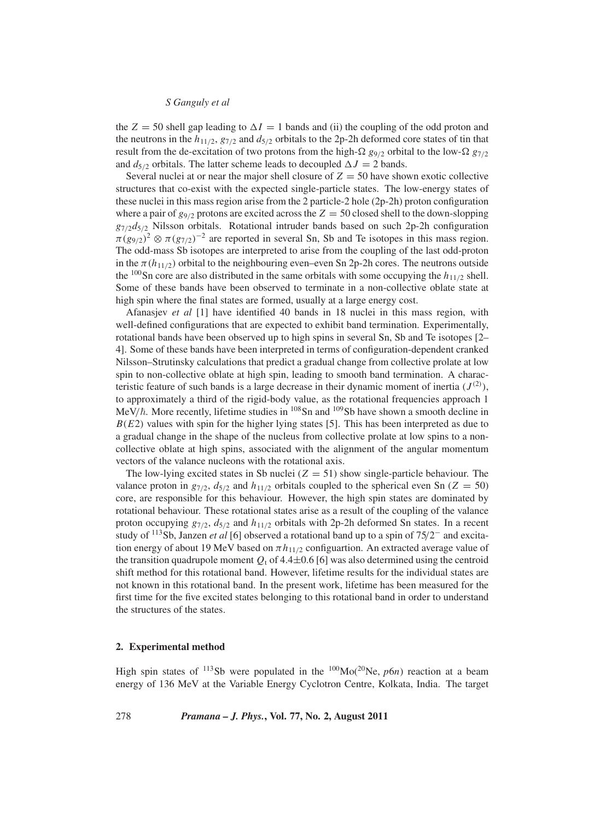the  $Z = 50$  shell gap leading to  $\Delta I = 1$  bands and (ii) the coupling of the odd proton and the neutrons in the  $h_{11/2}$ ,  $g_{7/2}$  and  $d_{5/2}$  orbitals to the 2p-2h deformed core states of tin that result from the de-excitation of two protons from the high- $\Omega$  g<sub>9/2</sub> orbital to the low- $\Omega$  g<sub>7/2</sub> and  $d_{5/2}$  orbitals. The latter scheme leads to decoupled  $\Delta J = 2$  bands.

Several nuclei at or near the major shell closure of  $Z = 50$  have shown exotic collective structures that co-exist with the expected single-particle states. The low-energy states of these nuclei in this mass region arise from the 2 particle-2 hole (2p-2h) proton configuration where a pair of  $g_{9/2}$  protons are excited across the  $Z = 50$  closed shell to the down-slopping *g*7/2*d*5/<sup>2</sup> Nilsson orbitals. Rotational intruder bands based on such 2p-2h configuration  $\pi(g_{9/2})^2 \otimes \pi(g_{7/2})^{-2}$  are reported in several Sn, Sb and Te isotopes in this mass region. The odd-mass Sb isotopes are interpreted to arise from the coupling of the last odd-proton in the  $\pi(h_{11/2})$  orbital to the neighbouring even–even Sn 2p-2h cores. The neutrons outside the <sup>100</sup>Sn core are also distributed in the same orbitals with some occupying the  $h_{11/2}$  shell. Some of these bands have been observed to terminate in a non-collective oblate state at high spin where the final states are formed, usually at a large energy cost.

Afanasjev *et al* [1] have identified 40 bands in 18 nuclei in this mass region, with well-defined configurations that are expected to exhibit band termination. Experimentally, rotational bands have been observed up to high spins in several Sn, Sb and Te isotopes [2– 4]. Some of these bands have been interpreted in terms of configuration-dependent cranked Nilsson–Strutinsky calculations that predict a gradual change from collective prolate at low spin to non-collective oblate at high spin, leading to smooth band termination. A characteristic feature of such bands is a large decrease in their dynamic moment of inertia  $(J^{(2)})$ , to approximately a third of the rigid-body value, as the rotational frequencies approach 1 MeV/ $\hbar$ . More recently, lifetime studies in  $^{108}$ Sn and  $^{109}$ Sb have shown a smooth decline in  $B(E2)$  values with spin for the higher lying states [5]. This has been interpreted as due to a gradual change in the shape of the nucleus from collective prolate at low spins to a noncollective oblate at high spins, associated with the alignment of the angular momentum vectors of the valance nucleons with the rotational axis.

The low-lying excited states in Sb nuclei  $(Z = 51)$  show single-particle behaviour. The valance proton in  $g_{7/2}$ ,  $d_{5/2}$  and  $h_{11/2}$  orbitals coupled to the spherical even Sn (*Z* = 50) core, are responsible for this behaviour. However, the high spin states are dominated by rotational behaviour. These rotational states arise as a result of the coupling of the valance proton occupying *g*7/2, *d*5/<sup>2</sup> and *h*11/<sup>2</sup> orbitals with 2p-2h deformed Sn states. In a recent study of 113Sb, Janzen *et al* [6] observed a rotational band up to a spin of 75/2<sup>−</sup> and excitation energy of about 19 MeV based on  $\pi h_{11/2}$  configuartion. An extracted average value of the transition quadrupole moment  $Q_t$  of 4.4 $\pm$ 0.6 [6] was also determined using the centroid shift method for this rotational band. However, lifetime results for the individual states are not known in this rotational band. In the present work, lifetime has been measured for the first time for the five excited states belonging to this rotational band in order to understand the structures of the states.

## **2. Experimental method**

High spin states of  $^{113}$ Sb were populated in the  $^{100}$ Mo( $^{20}$ Ne, *p6n*) reaction at a beam energy of 136 MeV at the Variable Energy Cyclotron Centre, Kolkata, India. The target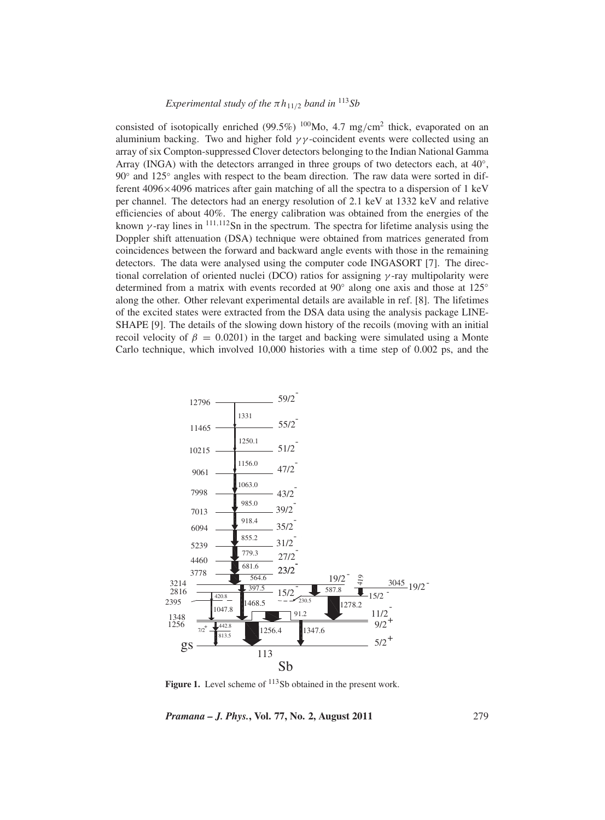# *Experimental study of the*  $\pi h_{11/2}$  *band in* <sup>113</sup>*Sb*

consisted of isotopically enriched (99.5%)  $100$ Mo, 4.7 mg/cm<sup>2</sup> thick, evaporated on an aluminium backing. Two and higher fold  $\gamma\gamma$ -coincident events were collected using an array of six Compton-suppressed Clover detectors belonging to the Indian National Gamma Array (INGA) with the detectors arranged in three groups of two detectors each, at  $40^\circ$ , 90◦ and 125◦ angles with respect to the beam direction. The raw data were sorted in different 4096×4096 matrices after gain matching of all the spectra to a dispersion of 1 keV per channel. The detectors had an energy resolution of 2.1 keV at 1332 keV and relative efficiencies of about 40%. The energy calibration was obtained from the energies of the known  $\gamma$ -ray lines in  $^{111,112}$ Sn in the spectrum. The spectra for lifetime analysis using the Doppler shift attenuation (DSA) technique were obtained from matrices generated from coincidences between the forward and backward angle events with those in the remaining detectors. The data were analysed using the computer code INGASORT [7]. The directional correlation of oriented nuclei (DCO) ratios for assigning  $\gamma$ -ray multipolarity were determined from a matrix with events recorded at 90◦ along one axis and those at 125◦ along the other. Other relevant experimental details are available in ref. [8]. The lifetimes of the excited states were extracted from the DSA data using the analysis package LINE-SHAPE [9]. The details of the slowing down history of the recoils (moving with an initial recoil velocity of  $\beta = 0.0201$ ) in the target and backing were simulated using a Monte Carlo technique, which involved 10,000 histories with a time step of 0.002 ps, and the



Figure 1. Level scheme of <sup>113</sup>Sb obtained in the present work.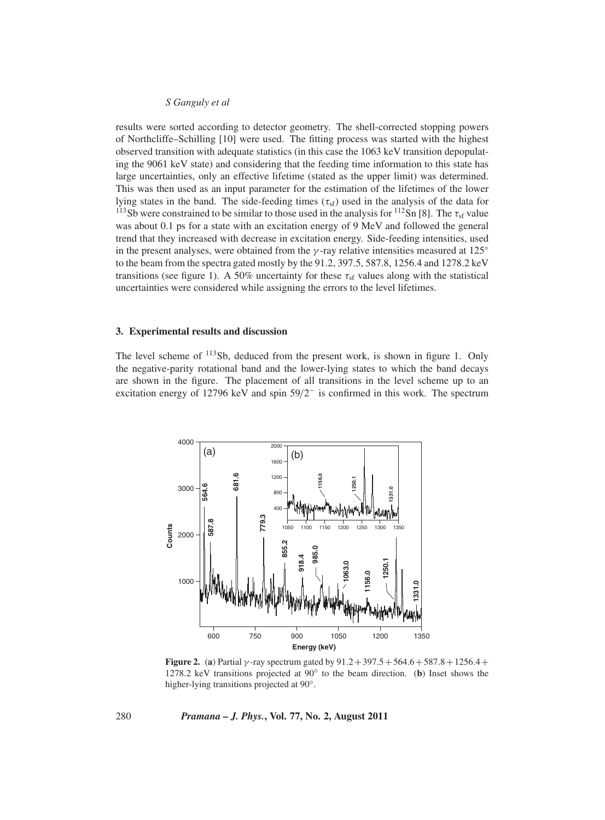results were sorted according to detector geometry. The shell-corrected stopping powers of Northcliffe–Schilling [10] were used. The fitting process was started with the highest observed transition with adequate statistics (in this case the 1063 keV transition depopulating the 9061 keV state) and considering that the feeding time information to this state has large uncertainties, only an effective lifetime (stated as the upper limit) was determined. This was then used as an input parameter for the estimation of the lifetimes of the lower lying states in the band. The side-feeding times  $(\tau_{sf})$  used in the analysis of the data for <sup>113</sup>Sb were constrained to be similar to those used in the analysis for <sup>112</sup>Sn [8]. The  $\tau_{sf}$  value was about 0.1 ps for a state with an excitation energy of 9 MeV and followed the general trend that they increased with decrease in excitation energy. Side-feeding intensities, used in the present analyses, were obtained from the  $\gamma$ -ray relative intensities measured at 125 $\degree$ to the beam from the spectra gated mostly by the 91.2, 397.5, 587.8, 1256.4 and 1278.2 keV transitions (see figure 1). A 50% uncertainty for these  $\tau_{sf}$  values along with the statistical uncertainties were considered while assigning the errors to the level lifetimes.

#### **3. Experimental results and discussion**

The level scheme of  $^{113}Sb$ , deduced from the present work, is shown in figure 1. Only the negative-parity rotational band and the lower-lying states to which the band decays are shown in the figure. The placement of all transitions in the level scheme up to an excitation energy of 12796 keV and spin 59/2<sup>−</sup> is confirmed in this work. The spectrum



**Figure 2.** (a) Partial  $\gamma$ -ray spectrum gated by  $91.2 + 397.5 + 564.6 + 587.8 + 1256.4 +$ 1278.2 keV transitions projected at 90◦ to the beam direction. (**b**) Inset shows the higher-lying transitions projected at 90◦.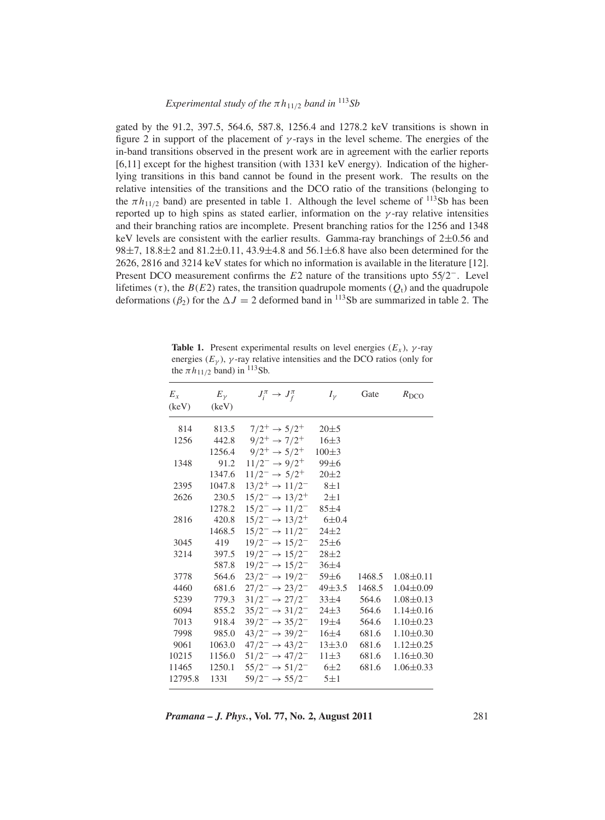gated by the 91.2, 397.5, 564.6, 587.8, 1256.4 and 1278.2 keV transitions is shown in figure 2 in support of the placement of  $\gamma$ -rays in the level scheme. The energies of the in-band transitions observed in the present work are in agreement with the earlier reports [6,11] except for the highest transition (with 1331 keV energy). Indication of the higherlying transitions in this band cannot be found in the present work. The results on the relative intensities of the transitions and the DCO ratio of the transitions (belonging to the  $\pi h_{11/2}$  band) are presented in table 1. Although the level scheme of <sup>113</sup>Sb has been reported up to high spins as stated earlier, information on the  $\gamma$ -ray relative intensities and their branching ratios are incomplete. Present branching ratios for the 1256 and 1348 keV levels are consistent with the earlier results. Gamma-ray branchings of 2±0.56 and 98 $\pm$ 7, 18.8 $\pm$ 2 and 81.2 $\pm$ 0.11, 43.9 $\pm$ 4.8 and 56.1 $\pm$ 6.8 have also been determined for the 2626, 2816 and 3214 keV states for which no information is available in the literature [12]. Present DCO measurement confirms the *E*2 nature of the transitions upto 55/2−. Level lifetimes  $(\tau)$ , the *B*(*E*2) rates, the transition quadrupole moments ( $Q_t$ ) and the quadrupole deformations ( $\beta_2$ ) for the  $\Delta J = 2$  deformed band in <sup>113</sup>Sb are summarized in table 2. The

**Table 1.** Present experimental results on level energies  $(E_x)$ ,  $\gamma$ -ray energies  $(E_{\gamma})$ ,  $\gamma$ -ray relative intensities and the DCO ratios (only for the  $\pi h_{11/2}$  band) in <sup>113</sup>Sb.

| $E_{r}$<br>(keV) | $E_{\gamma}$<br>(keV) | $J_i^{\pi} \rightarrow J_f^{\pi}$      | $I_{\nu}$   | Gate   | $R_{\rm DCO}$   |
|------------------|-----------------------|----------------------------------------|-------------|--------|-----------------|
| 814              | 813.5                 | $7/2^+ \rightarrow 5/2^+$              | $20 \pm 5$  |        |                 |
| 1256             | 442.8                 | $9/2^+ \rightarrow 7/2^+$              | $16 + 3$    |        |                 |
|                  | 1256.4                | $9/2^+ \rightarrow 5/2^+$              | $100 \pm 3$ |        |                 |
| 1348             | 91.2                  | $11/2^- \rightarrow 9/2^+$             | $99\pm6$    |        |                 |
|                  | 1347.6                | $11/2^- \rightarrow 5/2^+$             | $20 \pm 2$  |        |                 |
| 2395             | 1047.8                | $13/2^+ \rightarrow 11/2^-$            | $8\pm1$     |        |                 |
| 2626             | 230.5                 | $15/2^- \rightarrow 13/2^+$ 2±1        |             |        |                 |
|                  | 1278.2                | $15/2^- \rightarrow 11/2^-$            | $85 + 4$    |        |                 |
| 2816             | 420.8                 | $15/2^- \rightarrow 13/2^+$            | $6 \pm 0.4$ |        |                 |
|                  | 1468.5                | $15/2^- \rightarrow 11/2^-$            | $24 + 2$    |        |                 |
| 3045             | 419                   | $19/2^- \rightarrow 15/2^-$            | $25 \pm 6$  |        |                 |
| 3214             | 397.5                 | $19/2^- \rightarrow 15/2^-$            | $28 + 2$    |        |                 |
|                  | 587.8                 | $19/2^- \rightarrow 15/2^-$            | $36\pm4$    |        |                 |
| 3778             | 564.6                 | $23/2^- \rightarrow 19/2^-$            | 59±6        | 1468.5 | $1.08 \pm 0.11$ |
| 4460             | 681.6                 | $27/2^- \rightarrow 23/2^-$            | $49\pm3.5$  | 1468.5 | $1.04 \pm 0.09$ |
| 5239             | 779.3                 | $31/2^- \rightarrow 27/2^-$            | $33\pm4$    | 564.6  | $1.08 \pm 0.13$ |
| 6094             | 855.2                 | $35/2^- \rightarrow 31/2^-$            | $24\pm3$    | 564.6  | $1.14 \pm 0.16$ |
| 7013             | 918.4                 | $39/2^- \rightarrow 35/2^-$            | 19±4        | 564.6  | $1.10 \pm 0.23$ |
| 7998             | 985.0                 | $43/2^- \rightarrow 39/2^-$            | $16\pm4$    | 681.6  | $1.10 \pm 0.30$ |
| 9061             | 1063.0                | $47/2^- \rightarrow 43/2^-$            | $13\pm3.0$  | 681.6  | $1.12 \pm 0.25$ |
| 10215            | 1156.0                | $51/2^- \rightarrow 47/2^-$ 11 $\pm 3$ |             | 681.6  | $1.16 \pm 0.30$ |
| 11465            | 1250.1                | $55/2^- \rightarrow 51/2^-$ 6±2        |             | 681.6  | $1.06 \pm 0.33$ |
| 12795.8          | 1331                  | $59/2^- \rightarrow 55/2^-$ 5±1        |             |        |                 |

*Pramana – J. Phys.***, Vol. 77, No. 2, August 2011** 281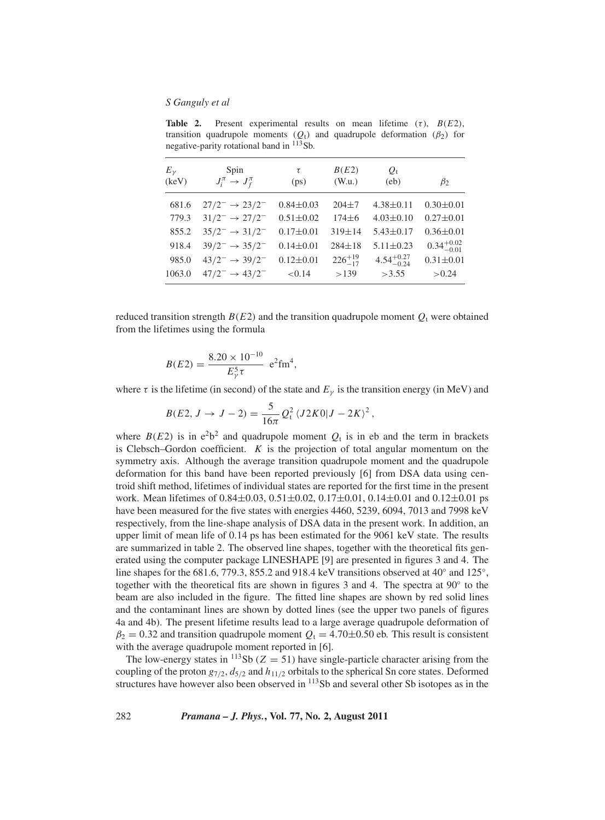**Table 2.** Present experimental results on mean lifetime  $(\tau)$ ,  $B(E2)$ , transition quadrupole moments  $(Q_t)$  and quadrupole deformation  $(\beta_2)$  for negative-parity rotational band in  $113Sb$ .

| $E_{\nu}$<br>(keV) | Spin<br>$J_i^{\pi} \rightarrow J_f^{\pi}$ | τ<br>(ps)       | B(E2)<br>(W.u.)   | $Q_{\rm t}$<br>(e <sub>b</sub> ) | $\beta_2$              |
|--------------------|-------------------------------------------|-----------------|-------------------|----------------------------------|------------------------|
| 681.6              | $27/2^- \rightarrow 23/2^-$               | $0.84 \pm 0.03$ | $204 + 7$         | $4.38 \pm 0.11$                  | $0.30 \pm 0.01$        |
| 779.3              | $31/2^- \rightarrow 27/2^-$               | $0.51 \pm 0.02$ | $174 \pm 6$       | $4.03 \pm 0.10$                  | $0.27 \pm 0.01$        |
| 855.2              | $35/2^- \rightarrow 31/2^-$               | $0.17 \pm 0.01$ | $319 \pm 14$      | $5.43 \pm 0.17$                  | $0.36 \pm 0.01$        |
| 918.4              | $39/2^- \rightarrow 35/2^-$               | $0.14 \pm 0.01$ | $284 \pm 18$      | $5.11 \pm 0.23$                  | $0.34^{+0.02}_{-0.01}$ |
| 985.0              | $43/2^- \rightarrow 39/2^-$               | $0.12 \pm 0.01$ | $226^{+19}_{-17}$ | $4.54^{+0.27}_{-0.24}$           | $0.31 \pm 0.01$        |
| 1063.0             | $47/2^- \rightarrow 43/2^-$               | < 0.14          | >139              | >3.55                            | > 0.24                 |

reduced transition strength  $B(E2)$  and the transition quadrupole moment  $Q_t$  were obtained from the lifetimes using the formula

$$
B(E2) = \frac{8.20 \times 10^{-10}}{E_{\gamma}^{5} \tau} e^{2} \text{fm}^{4},
$$

where  $\tau$  is the lifetime (in second) of the state and  $E<sub>\gamma</sub>$  is the transition energy (in MeV) and

$$
B(E2, J \to J - 2) = \frac{5}{16\pi} Q_t^2 \langle J2K0|J - 2K \rangle^2,
$$

where  $B(E2)$  is in  $e^2b^2$  and quadrupole moment  $Q_t$  is in eb and the term in brackets is Clebsch–Gordon coefficient. *K* is the projection of total angular momentum on the symmetry axis. Although the average transition quadrupole moment and the quadrupole deformation for this band have been reported previously [6] from DSA data using centroid shift method, lifetimes of individual states are reported for the first time in the present work. Mean lifetimes of  $0.84 \pm 0.03$ ,  $0.51 \pm 0.02$ ,  $0.17 \pm 0.01$ ,  $0.14 \pm 0.01$  and  $0.12 \pm 0.01$  ps have been measured for the five states with energies 4460, 5239, 6094, 7013 and 7998 keV respectively, from the line-shape analysis of DSA data in the present work. In addition, an upper limit of mean life of 0.14 ps has been estimated for the 9061 keV state. The results are summarized in table 2. The observed line shapes, together with the theoretical fits generated using the computer package LINESHAPE [9] are presented in figures 3 and 4. The line shapes for the 681.6, 779.3, 855.2 and 918.4 keV transitions observed at 40 $\degree$  and 125 $\degree$ , together with the theoretical fits are shown in figures 3 and 4. The spectra at 90◦ to the beam are also included in the figure. The fitted line shapes are shown by red solid lines and the contaminant lines are shown by dotted lines (see the upper two panels of figures 4a and 4b). The present lifetime results lead to a large average quadrupole deformation of  $\beta_2 = 0.32$  and transition quadrupole moment  $Q_t = 4.70\pm0.50$  eb. This result is consistent with the average quadrupole moment reported in [6].

The low-energy states in <sup>113</sup>Sb ( $Z = 51$ ) have single-particle character arising from the coupling of the proton  $g_{7/2}$ ,  $d_{5/2}$  and  $h_{11/2}$  orbitals to the spherical Sn core states. Deformed structures have however also been observed in <sup>113</sup>Sb and several other Sb isotopes as in the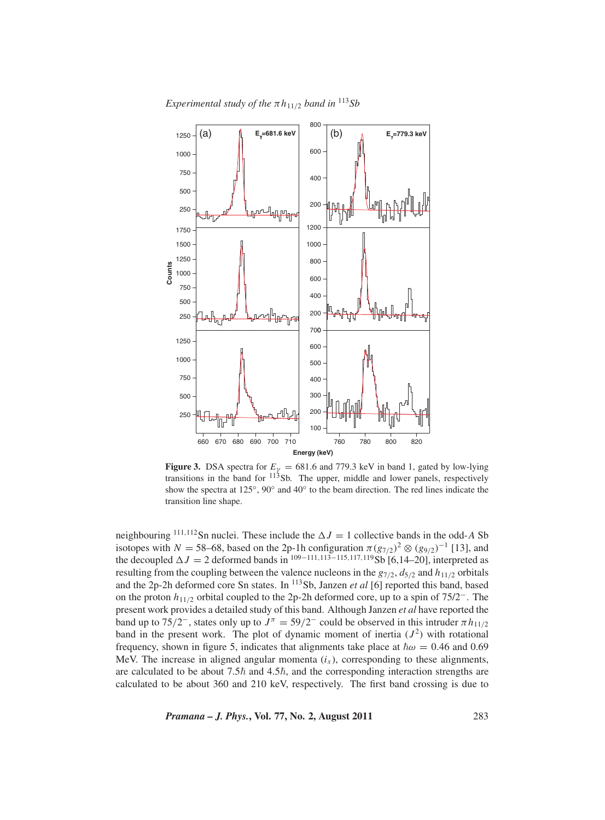*Experimental study of the*  $\pi h_{11/2}$  *band in* <sup>113</sup>*Sb* 



**Figure 3.** DSA spectra for  $E<sub>V</sub> = 681.6$  and 779.3 keV in band 1, gated by low-lying transitions in the band for 113Sb. The upper, middle and lower panels, respectively show the spectra at 125◦, 90◦ and 40◦ to the beam direction. The red lines indicate the transition line shape.

neighbouring <sup>111,112</sup>Sn nuclei. These include the  $\Delta J = 1$  collective bands in the odd-A Sb isotopes with *N* = 58–68, based on the 2p-1h configuration  $\pi (g_{7/2})^2 \otimes (g_{9/2})^{-1}$  [13], and the decoupled  $\Delta J = 2$  deformed bands in <sup>109–111,113–115,117,119</sup>Sb [6,14–20], interpreted as resulting from the coupling between the valence nucleons in the  $g_{7/2}$ ,  $d_{5/2}$  and  $h_{11/2}$  orbitals and the 2p-2h deformed core Sn states. In 113Sb, Janzen *et al* [6] reported this band, based on the proton *h*<sup>11</sup>/<sup>2</sup> orbital coupled to the 2p-2h deformed core, up to a spin of 75/2<sup>−</sup>. The present work provides a detailed study of this band. Although Janzen *et al* have reported the band up to 75/2<sup>-</sup>, states only up to  $J^{\pi} = 59/2^-$  could be observed in this intruder  $\pi h_{11/2}$ band in the present work. The plot of dynamic moment of inertia  $(J^2)$  with rotational frequency, shown in figure 5, indicates that alignments take place at  $\hbar \omega = 0.46$  and 0.69 MeV. The increase in aligned angular momenta  $(i_x)$ , corresponding to these alignments, are calculated to be about 7.5 $\hbar$  and 4.5 $\hbar$ , and the corresponding interaction strengths are calculated to be about 360 and 210 keV, respectively. The first band crossing is due to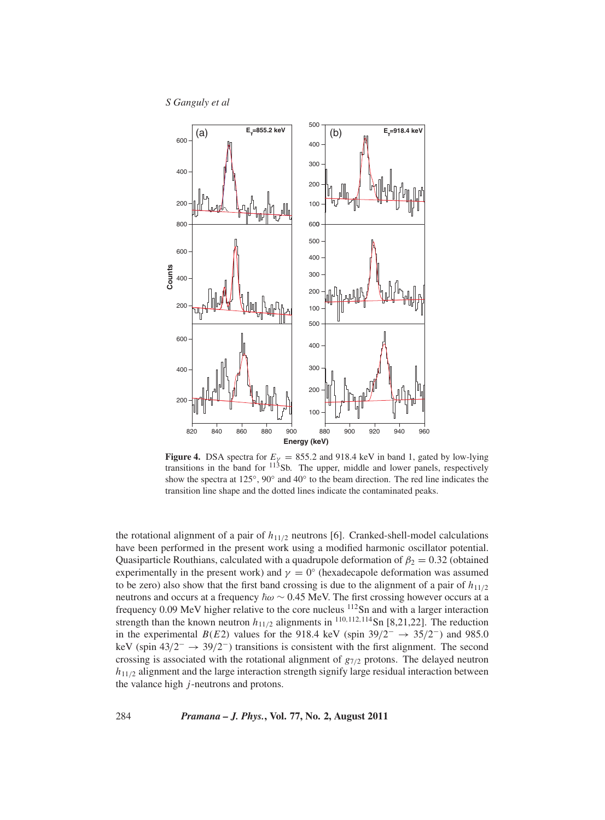*S Ganguly et al*



**Figure 4.** DSA spectra for  $E_\gamma = 855.2$  and 918.4 keV in band 1, gated by low-lying transitions in the band for  $113$ Sb. The upper, middle and lower panels, respectively show the spectra at 125◦, 90◦ and 40◦ to the beam direction. The red line indicates the transition line shape and the dotted lines indicate the contaminated peaks.

the rotational alignment of a pair of  $h_{11/2}$  neutrons [6]. Cranked-shell-model calculations have been performed in the present work using a modified harmonic oscillator potential. Quasiparticle Routhians, calculated with a quadrupole deformation of  $\beta_2 = 0.32$  (obtained experimentally in the present work) and  $\gamma = 0^\circ$  (hexadecapole deformation was assumed to be zero) also show that the first band crossing is due to the alignment of a pair of  $h_{11/2}$ neutrons and occurs at a frequency  $\hbar \omega \sim 0.45$  MeV. The first crossing however occurs at a frequency 0.09 MeV higher relative to the core nucleus 112Sn and with a larger interaction strength than the known neutron  $h_{11/2}$  alignments in <sup>110,112,114</sup>Sn [8,21,22]. The reduction in the experimental *B*(*E*2) values for the 918.4 keV (spin 39/2<sup>-</sup>  $\rightarrow$  35/2<sup>-</sup>) and 985.0 keV (spin  $43/2^- \rightarrow 39/2^-$ ) transitions is consistent with the first alignment. The second crossing is associated with the rotational alignment of *g*<sup>7</sup>/<sup>2</sup> protons. The delayed neutron *h*<sub>11/2</sub> alignment and the large interaction strength signify large residual interaction between the valance high *j*-neutrons and protons.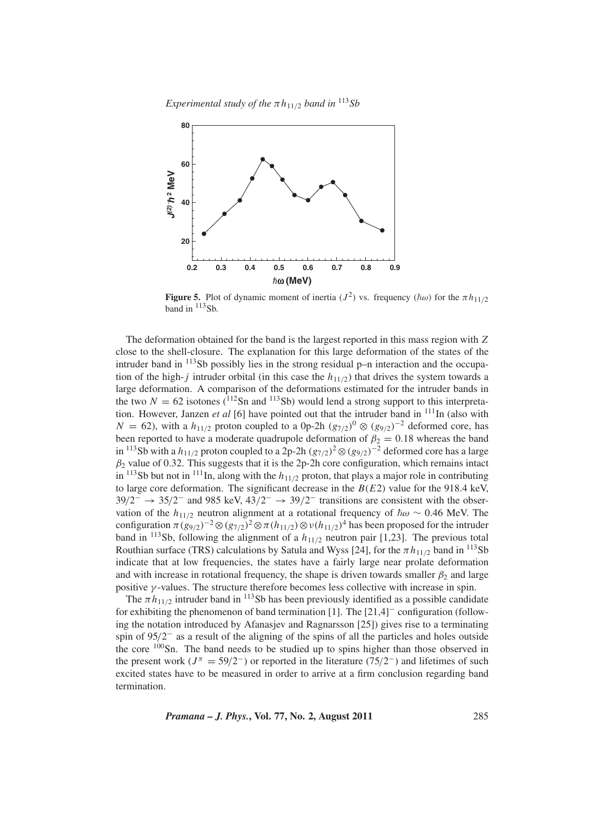*Experimental study of the*  $\pi h_{11/2}$  *band in* <sup>113</sup>*Sb* 



**Figure 5.** Plot of dynamic moment of inertia  $(J^2)$  vs. frequency  $(\hbar \omega)$  for the  $\pi h_{11/2}$ band in  $113Sb$ .

The deformation obtained for the band is the largest reported in this mass region with *Z* close to the shell-closure. The explanation for this large deformation of the states of the intruder band in <sup>113</sup>Sb possibly lies in the strong residual p–n interaction and the occupation of the high-*j* intruder orbital (in this case the  $h_{11/2}$ ) that drives the system towards a large deformation. A comparison of the deformations estimated for the intruder bands in the two  $N = 62$  isotones ( $^{112}$ Sn and  $^{113}$ Sb) would lend a strong support to this interpretation. However, Janzen *et al* [6] have pointed out that the intruder band in <sup>111</sup>In (also with *N* = 62), with a *h*<sub>11/2</sub> proton coupled to a 0p-2h  $(g_{7/2})^0 \otimes (g_{9/2})^{-2}$  deformed core, has been reported to have a moderate quadrupole deformation of  $\beta_2 = 0.18$  whereas the band in <sup>113</sup>Sb with a  $h_{11/2}$  proton coupled to a 2p-2h  $(g_{7/2})^2$ ⊗ $(g_{9/2})^{-2}$  deformed core has a large  $\beta_2$  value of 0.32. This suggests that it is the 2p-2h core configuration, which remains intact in  $113Sb$  but not in  $111In$ , along with the  $h_{11/2}$  proton, that plays a major role in contributing to large core deformation. The significant decrease in the *B*(*E*2) value for the 918.4 keV,  $39/2^ \rightarrow$  35/2<sup>-</sup> and 985 keV,  $43/2^ \rightarrow$  39/2<sup>-</sup> transitions are consistent with the observation of the  $h_{11/2}$  neutron alignment at a rotational frequency of  $\hbar \omega \sim 0.46$  MeV. The configuration  $\pi(g_{9/2})^{-2} \otimes (g_{7/2})^2 \otimes \pi(h_{11/2}) \otimes \nu(h_{11/2})^4$  has been proposed for the intruder band in <sup>113</sup>Sb, following the alignment of a  $h_{11/2}$  neutron pair [1,23]. The previous total Routhian surface (TRS) calculations by Satula and Wyss [24], for the  $\pi h_{11/2}$  band in <sup>113</sup>Sb indicate that at low frequencies, the states have a fairly large near prolate deformation and with increase in rotational frequency, the shape is driven towards smaller  $\beta_2$  and large positive  $\gamma$ -values. The structure therefore becomes less collective with increase in spin.

The  $\pi h_{11/2}$  intruder band in <sup>113</sup>Sb has been previously identified as a possible candidate for exhibiting the phenomenon of band termination [1]. The [21,4]<sup>−</sup> configuration (following the notation introduced by Afanasjev and Ragnarsson [25]) gives rise to a terminating spin of 95/2<sup>−</sup> as a result of the aligning of the spins of all the particles and holes outside the core 100Sn. The band needs to be studied up to spins higher than those observed in the present work ( $J^{\pi} = 59/2^-$ ) or reported in the literature (75/2<sup>-</sup>) and lifetimes of such excited states have to be measured in order to arrive at a firm conclusion regarding band termination.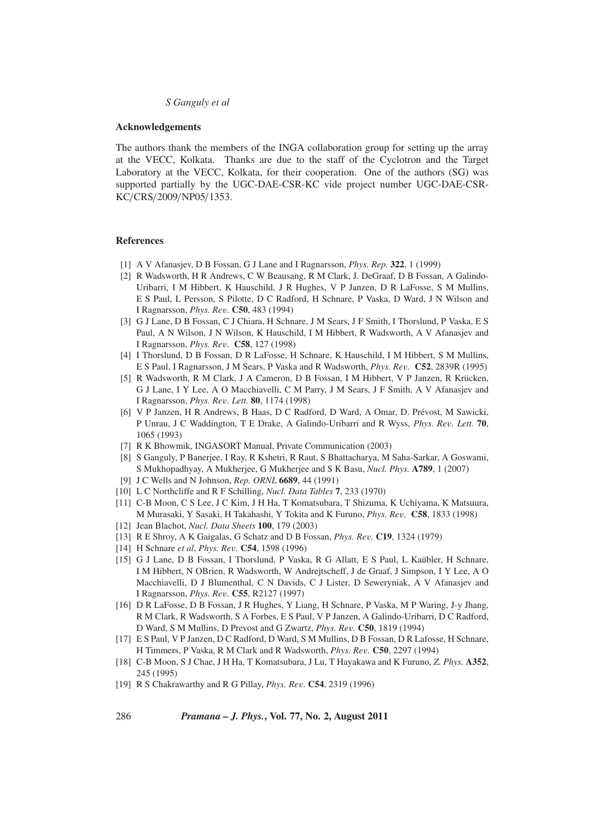#### **Acknowledgements**

The authors thank the members of the INGA collaboration group for setting up the array at the VECC, Kolkata. Thanks are due to the staff of the Cyclotron and the Target Laboratory at the VECC, Kolkata, for their cooperation. One of the authors (SG) was supported partially by the UGC-DAE-CSR-KC vide project number UGC-DAE-CSR-KC/CRS/2009/NP05/1353.

### **References**

- [1] A V Afanasjev, D B Fossan, G J Lane and I Ragnarsson, *Phys. Rep.* **322**, 1 (1999)
- [2] R Wadsworth, H R Andrews, C W Beausang, R M Clark, J. DeGraaf, D B Fossan, A Galindo-Uribarri, I M Hibbert, K Hauschild, J R Hughes, V P Janzen, D R LaFosse, S M Mullins, E S Paul, L Persson, S Pilotte, D C Radford, H Schnare, P Vaska, D Ward, J N Wilson and I Ragnarsson, *Phys. Re*v*.* **C50**, 483 (1994)
- [3] G J Lane, D B Fossan, C J Chiara, H Schnare, J M Sears, J F Smith, I Thorslund, P Vaska, E S Paul, A N Wilson, J N Wilson, K Hauschild, I M Hibbert, R Wadsworth, A V Afanasjev and I Ragnarsson, *Phys. Re*v*.* **C58**, 127 (1998)
- [4] I Thorslund, D B Fossan, D R LaFosse, H Schnare, K Hauschild, I M Hibbert, S M Mullins, E S Paul, I Ragnarsson, J M Sears, P Vaska and R Wadsworth, *Phys. Re*v*.* **C52**, 2839R (1995)
- [5] R Wadsworth, R M Clark, J A Cameron, D B Fossan, I M Hibbert, V P Janzen, R Krücken, G J Lane, I Y Lee, A O Macchiavelli, C M Parry, J M Sears, J F Smith, A V Afanasjev and I Ragnarsson, *Phys. Re*v*. Lett.* **80**, 1174 (1998)
- [6] V P Janzen, H R Andrews, B Haas, D C Radford, D Ward, A Omar, D. Prévost, M Sawicki, P Unrau, J C Waddington, T E Drake, A Galindo-Uribarri and R Wyss, *Phys. Re*v*. Lett.* **70**, 1065 (1993)
- [7] R K Bhowmik, INGASORT Manual, Private Communication (2003)
- [8] S Ganguly, P Banerjee, I Ray, R Kshetri, R Raut, S Bhattacharya, M Saha-Sarkar, A Goswami, S Mukhopadhyay, A Mukherjee, G Mukherjee and S K Basu, *Nucl. Phys.* **A789**, 1 (2007)
- [9] J C Wells and N Johnson, *Rep. ORNL* **6689**, 44 (1991)
- [10] L C Northcliffe and R F Schilling, *Nucl. Data Tables* **7**, 233 (1970)
- [11] C-B Moon, C S Lee, J C Kim, J H Ha, T Komatsubara, T Shizuma, K Uchiyama, K Matsuura, M Murasaki, Y Sasaki, H Takahashi, Y Tokita and K Furuno, *Phys. Re*v*.* **C58**, 1833 (1998)
- [12] Jean Blachot, *Nucl. Data Sheets* **100**, 179 (2003)
- [13] R E Shroy, A K Gaigalas, G Schatz and D B Fossan, *Phys. Re*v*.* **C19**, 1324 (1979)
- [14] H Schnare *et al*, *Phys. Re*v*.* **C54**, 1598 (1996)
- [15] G J Lane, D B Fossan, I Thorslund, P Vaska, R G Allatt, E S Paul, L Kaübler, H Schnare, I M Hibbert, N OBrien, R Wadsworth, W Andrejtscheff, J de Graaf, J Simpson, I Y Lee, A O Macchiavelli, D J Blumenthal, C N Davids, C J Lister, D Seweryniak, A V Afanasjev and I Ragnarsson, *Phys. Re*v*.* **C55**, R2127 (1997)
- [16] D R LaFosse, D B Fossan, J R Hughes, Y Liang, H Schnare, P Vaska, M P Waring, J-y Jhang, R M Clark, R Wadsworth, S A Forbes, E S Paul, V P Janzen, A Galindo-Uribarri, D C Radford, D Ward, S M Mullins, D Prevost and G Zwartz, *Phys. Re*v*.* **C50**, 1819 (1994)
- [17] E S Paul, V P Janzen, D C Radford, D Ward, S M Mullins, D B Fossan, D R Lafosse, H Schnare, H Timmers, P Vaska, R M Clark and R Wadsworth, *Phys. Re*v*.* **C50**, 2297 (1994)
- [18] C-B Moon, S J Chae, J H Ha, T Komatsubara, J Lu, T Hayakawa and K Furuno, *Z. Phys.* **A352**, 245 (1995)
- [19] R S Chakrawarthy and R G Pillay, *Phys. Re*v*.* **C54**, 2319 (1996)